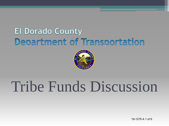## **El Dorado County** Department of Transportation



# Tribe Funds Discussion

19-1279 A 1 of 6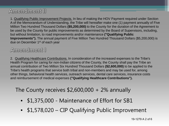#### **Amendment II**

1. Qualifying Public Improvement Projects. In lieu of making the HOV Payment required under Section A of the Memorandum of Understanding, the Tribe will hereafter make one (1) payment annually of Five Million Two Hundred Thousand Dollars **(\$5,200,000)** to the County for the duration of the Agreement to be used by the County for public improvements as determined by the Board of Supervisors, including, but without limitation, to road improvements and/or maintenance **("Qualifying Public Improvements").** The annual payment of Five Million Two Hundred Thousand Dollars (\$5,200,000) is due on December 1<sup>st</sup> of each year

#### **Amendment I**

2. Qualifying Healthcare Contributions. In consideration of the increased expenses to the Tribe's Health Program for caring for non-Indian citizens of the County, the County shall pay the Tribe an annual contribution of Two Million Six Hundred Thousand Dollars **(\$2,600,000)** to be applied to the Tribe's health programs that service both tribal and non-members and may be used for, among other things, behavioral health services, outreach services, dental care services, insurance costs and reimbursement of medical expenses **("Qualifying Healthcare Contributions").**

#### The County receives \$2,600,000 + 2% annually

- \$1,375,000 Maintenance of Effort for SB1
- \$1,578,020 CIP Qualifying Public Improvement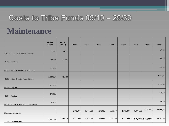### Costs to Tribe Funds 09/10 - 29/39

### **Maintenance**

|                                         | <b>PRIOR</b><br>(Actual) | 18/19<br>(Actual) | 19/20     | 20/21     | 21/22     | 22/23     | 23/24     | 24/29     | 29/39               | <b>Total</b> |
|-----------------------------------------|--------------------------|-------------------|-----------|-----------|-----------|-----------|-----------|-----------|---------------------|--------------|
| 37013 - El Dorado Township Drainage     | 21,775                   | 21,972            |           |           |           |           |           |           |                     | 43,747       |
| $49305$ - Slurry Seal                   | 130,114                  | 576,083           |           |           |           |           |           |           |                     | 706,197      |
| 49306 - Sign Retro Reflectivity Program | 177,687                  |                   |           |           |           |           |           |           |                     | 177,687      |
| 49307 - Minor & Major Rehabilitation    | 3,830,524                | 416,498           |           |           |           |           |           |           |                     | 4,247,022    |
| 49308 - Chip Seal                       | 1,311,457                |                   |           |           |           |           |           |           |                     | 1,311,457    |
| 49314 - Striping                        | 276,669                  |                   |           |           |           |           |           |           |                     | 276,669      |
| 49318 - Palmer Dr Sink Hole (Emergency) | 82,906                   |                   |           |           |           |           |           |           |                     | 82,906       |
| Maintenance Program                     |                          |                   | 2,175,000 | 1,375,000 | 1,375,000 | 1,375,000 | 1,375,000 | 6,875,000 | 13,750,000          | 28,300,000   |
| <b>Total Maintenance</b>                | 5,831,131                | 1,014,554         | 2,175,000 | 1,375,000 | 1,375,000 | 1,375,000 | 1,375,000 |           | 1941279 A 13.764.00 | 35,145,684   |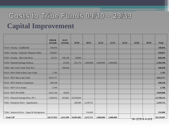## Costs to Tribe Funds 09/10 - 29/39 **Capital Improvement**

|                                                 | <b>PRIOR</b><br>(Actual) | 18/19<br>(Actual) | 19/20      | 20/21     | 21/22     | 22/23     | 23/24 | 24/29            | 29/39 | <b>Total</b> |
|-------------------------------------------------|--------------------------|-------------------|------------|-----------|-----------|-----------|-------|------------------|-------|--------------|
| 72119 - Overlay - Goldhill Rd                   | 530,916                  |                   |            |           |           |           |       |                  |       | 530,916      |
| 72190 - Overlay - Patterson -Pleasant Valley    | 939,827                  |                   |            |           |           |           |       |                  |       | 939,827      |
| 72192 - Overlay - Elks Club Drive               | 63,151                   | 766,148           | 20,000     |           |           |           |       |                  |       | 849,299      |
| 72334 - Diamond Springs Parkway                 |                          | 43,420            | 161,176    | 1,000,000 | 2,000,000 | 2,000,000 |       |                  |       | 5,204,596    |
| 72308 - New York Creek Trial, Ph 2              |                          | 100,430           |            |           |           |           |       |                  |       | 100,430      |
| 53110 - HOV EDH to Bass Lake Grade              | 1,705                    |                   |            |           |           |           |       |                  |       | 1,705        |
| 53113 - HOV Bass Lake Grade                     | 3,815,717                |                   |            |           |           |           |       |                  |       | 3,815,717    |
| 53116 - HOV Pondo to Greenstone                 | 590,538                  |                   |            |           |           |           |       |                  |       | 590,538      |
| 53122 - HOV CP to Pondo                         | 4,798                    |                   |            |           |           |           |       |                  |       | 4,798        |
| 53124 - HOV Ph 0 EDH                            | 3,031,168                | 18,639            |            |           |           |           |       |                  |       | 3,049,808    |
| 72375 - Diamond Springs Pkwy, Ph 1              | 1,560,034                | 693,862           | 10,544,626 |           |           |           |       |                  |       | 12,798,523   |
| 73365 - Enterprise Drive - Signalization        |                          |                   | 180,000    | 2,239,751 |           |           |       |                  |       | 2,419,751    |
|                                                 |                          |                   |            |           |           |           |       |                  |       |              |
| 73366 - Industrial Drive - Signal & Realignment |                          |                   |            | 234,000   |           |           |       |                  |       | 234,000      |
| <b>Total CIP</b>                                | 10,537,855               | 1,622,499         | 10,905,802 | 3,473,751 | 2,000,000 | 2,000,000 |       | 19-1279 A 4 of 6 |       | 30,539,907   |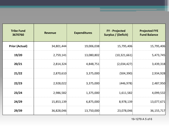| <b>Tribe Fund</b><br>3670760 | <b>Revenue</b> | <b>Expenditures</b> | <b>FY</b> - Projected<br>Surplus / (Deficit) | <b>Projected FYE</b><br><b>Fund Balance</b> |  |
|------------------------------|----------------|---------------------|----------------------------------------------|---------------------------------------------|--|
| <b>Prior (Actual)</b>        | 34,801,444     | 19,006,038          | 15,795,406                                   | 15,795,406                                  |  |
| 19/20                        | 2,759,141      | 13,080,802          | (10, 321, 661)                               | 5,473,745                                   |  |
| 20/21                        | 2,814,324      | 4,848,751           | (2,034,427)                                  | 3,439,318                                   |  |
| 21/22                        | 2,870,610      | 3,375,000           | (504, 390)                                   | 2,934,928                                   |  |
| 22/23                        | 2,928,022      | 3,375,000           | (446,978)                                    | 2,487,950                                   |  |
| 23/24                        | 2,986,582      | 1,375,000           | 1,611,582                                    | 4,099,532                                   |  |
| 24/29                        | 15,853,139     | 6,875,000           | 8,978,139                                    | 13,077,671                                  |  |
| 29/39                        | 36,828,046     | 13,750,000          | 23,078,046                                   | 36, 155, 717                                |  |

19-1279 A 5 of 6